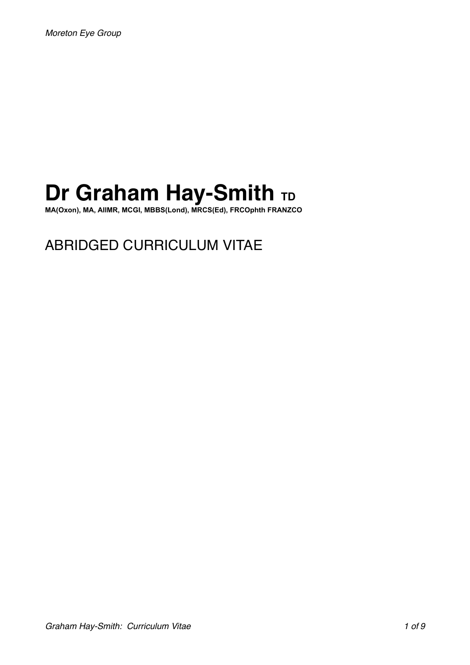# **Dr Graham Hay-Smith TD**

**MA(Oxon), MA, AIIMR, MCGI, MBBS(Lond), MRCS(Ed), FRCOphth FRANZCO** 

# ABRIDGED CURRICULUM VITAE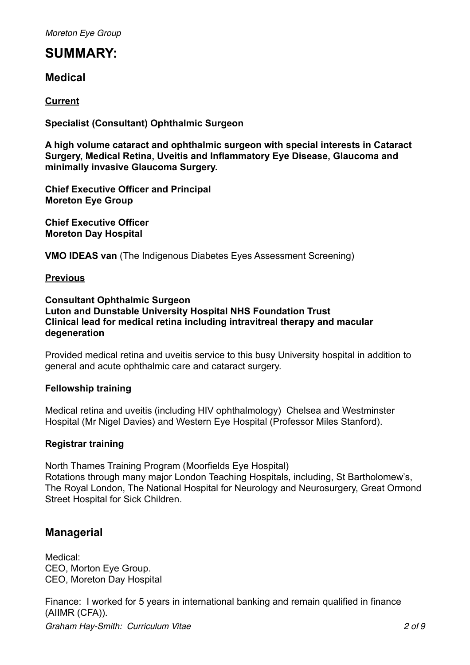*Moreton Eye Group*

### **SUMMARY:**

**Medical** 

### **Current**

**Specialist (Consultant) Ophthalmic Surgeon** 

**A high volume cataract and ophthalmic surgeon with special interests in Cataract Surgery, Medical Retina, Uveitis and Inflammatory Eye Disease, Glaucoma and minimally invasive Glaucoma Surgery.** 

**Chief Executive Officer and Principal Moreton Eye Group** 

**Chief Executive Officer Moreton Day Hospital** 

**VMO IDEAS van** (The Indigenous Diabetes Eyes Assessment Screening)

### **Previous**

### **Consultant Ophthalmic Surgeon Luton and Dunstable University Hospital NHS Foundation Trust Clinical lead for medical retina including intravitreal therapy and macular degeneration**

Provided medical retina and uveitis service to this busy University hospital in addition to general and acute ophthalmic care and cataract surgery.

### **Fellowship training**

Medical retina and uveitis (including HIV ophthalmology) Chelsea and Westminster Hospital (Mr Nigel Davies) and Western Eye Hospital (Professor Miles Stanford).

### **Registrar training**

North Thames Training Program (Moorfields Eye Hospital) Rotations through many major London Teaching Hospitals, including, St Bartholomew's, The Royal London, The National Hospital for Neurology and Neurosurgery, Great Ormond Street Hospital for Sick Children.

### **Managerial**

Medical: CEO, Morton Eye Group. CEO, Moreton Day Hospital

Finance: I worked for 5 years in international banking and remain qualified in finance (AIIMR (CFA)).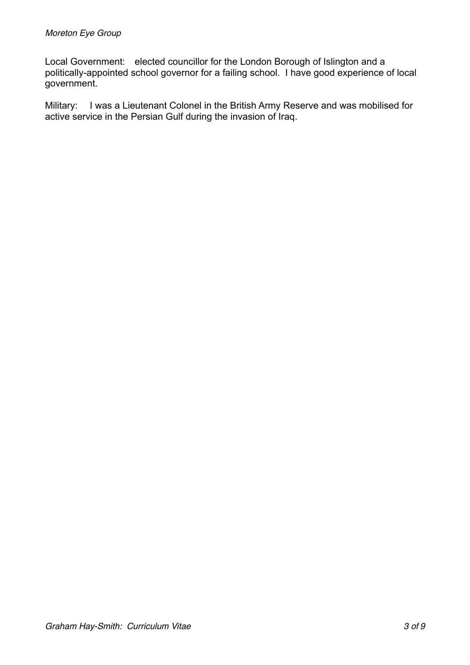Local Government: elected councillor for the London Borough of Islington and a politically-appointed school governor for a failing school. I have good experience of local government.

Military: I was a Lieutenant Colonel in the British Army Reserve and was mobilised for active service in the Persian Gulf during the invasion of Iraq.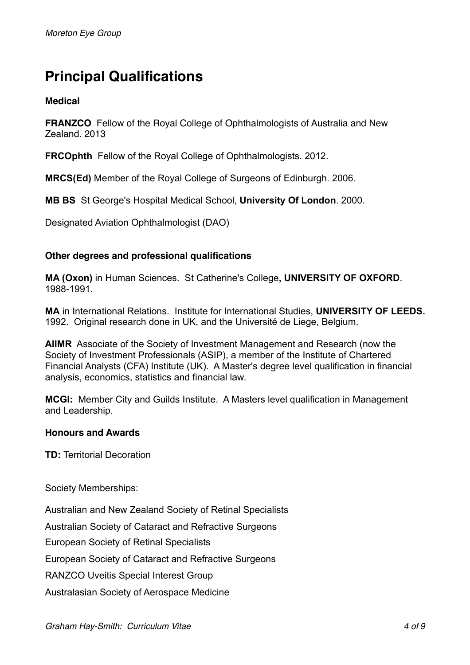# **Principal Qualifications**

### **Medical**

**FRANZCO** Fellow of the Royal College of Ophthalmologists of Australia and New Zealand. 2013

**FRCOphth** Fellow of the Royal College of Ophthalmologists. 2012.

**MRCS(Ed)** Member of the Royal College of Surgeons of Edinburgh. 2006.

**MB BS** St George's Hospital Medical School, **University Of London**. 2000.

Designated Aviation Ophthalmologist (DAO)

### **Other degrees and professional qualifications**

**MA (Oxon)** in Human Sciences. St Catherine's College**, UNIVERSITY OF OXFORD**. 1988-1991.

**MA** in International Relations. Institute for International Studies, **UNIVERSITY OF LEEDS.** 1992. Original research done in UK, and the Université de Liege, Belgium.

**AIIMR** Associate of the Society of Investment Management and Research (now the Society of Investment Professionals (ASIP), a member of the Institute of Chartered Financial Analysts (CFA) Institute (UK). A Master's degree level qualification in financial analysis, economics, statistics and financial law.

**MCGI:** Member City and Guilds Institute. A Masters level qualification in Management and Leadership.

### **Honours and Awards**

**TD:** Territorial Decoration

Society Memberships:

Australian and New Zealand Society of Retinal Specialists Australian Society of Cataract and Refractive Surgeons European Society of Retinal Specialists European Society of Cataract and Refractive Surgeons RANZCO Uveitis Special Interest Group Australasian Society of Aerospace Medicine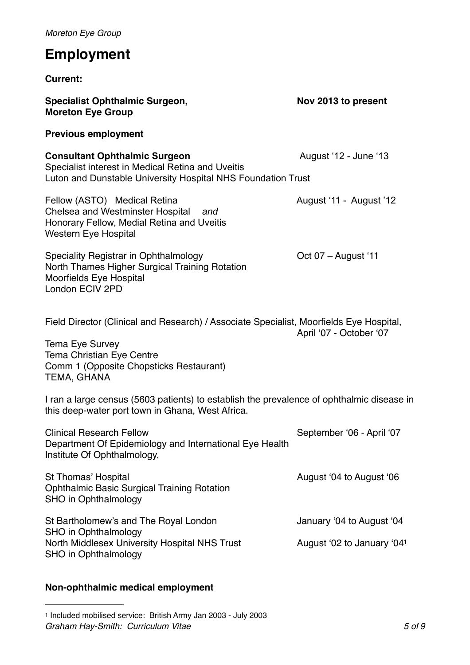*Moreton Eye Group* **Employment Current: Specialist Ophthalmic Surgeon, Nov 2013 to present Moreton Eye Group Previous employment Consultant Ophthalmic Surgeon**  August '12 - June '13 Specialist interest in Medical Retina and Uveitis Luton and Dunstable University Hospital NHS Foundation Trust Fellow (ASTO) Medical Retina **August '11 - August '12** Chelsea and Westminster Hospital *and*  Honorary Fellow, Medial Retina and Uveitis Western Eye Hospital Speciality Registrar in Ophthalmology **Containery** Oct 07 – August '11 North Thames Higher Surgical Training Rotation Moorfields Eye Hospital London ECIV 2PD Field Director (Clinical and Research) / Associate Specialist, Moorfields Eye Hospital, April '07 - October '07 Tema Eye Survey Tema Christian Eye Centre Comm 1 (Opposite Chopsticks Restaurant) TEMA, GHANA I ran a large census (5603 patients) to establish the prevalence of ophthalmic disease in this deep-water port town in Ghana, West Africa. Clinical Research Fellow September '06 - April '07 Department Of Epidemiology and International Eye Health Institute Of Ophthalmology, St Thomas' Hospital **August 1998** St Thomas' Hospital August '04 to August '06 Ophthalmic Basic Surgical Training Rotation SHO in Ophthalmology St Bartholomew's and The Royal London January '04 to August '04 SHO in Ophthalmology North Middlesex University Hospital NHS Trust August '02 to January '04<sup>1</sup> SHO in Ophthalmology

### <span id="page-4-1"></span>**Non-ophthalmic medical employment**

<span id="page-4-0"></span>[<sup>1</sup>](#page-4-1) Included mobilised service: British Army Jan 2003 - July 2003 *Graham Hay-Smith: Curriculum Vitae 5 of 9*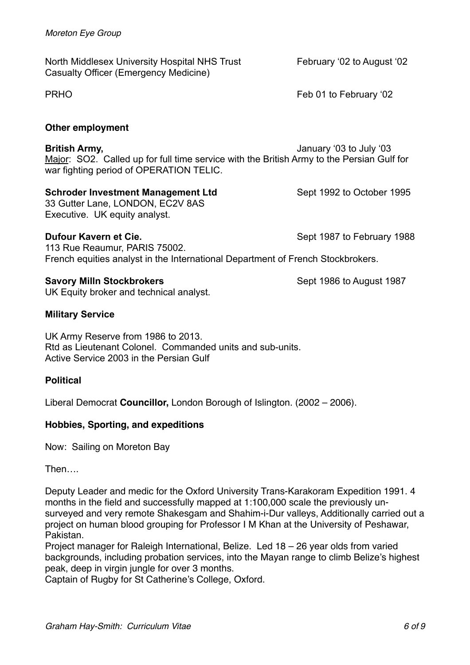North Middlesex University Hospital NHS Trust February '02 to August '02 Casualty Officer (Emergency Medicine)

### **Other employment**

**British Army,** January '03 to July '03 Major: SO2. Called up for full time service with the British Army to the Persian Gulf for war fighting period of OPERATION TELIC.

### **Schroder Investment Management Ltd** Sept 1992 to October 1995

33 Gutter Lane, LONDON, EC2V 8AS Executive. UK equity analyst.

### **Dufour Kavern et Cie.** Sept 1987 to February 1988

113 Rue Reaumur, PARIS 75002. French equities analyst in the International Department of French Stockbrokers.

### **Savory Milln Stockbrokers Sept 1986 to August 1987**

UK Equity broker and technical analyst.

### **Military Service**

UK Army Reserve from 1986 to 2013. Rtd as Lieutenant Colonel. Commanded units and sub-units. Active Service 2003 in the Persian Gulf

### **Political**

Liberal Democrat **Councillor,** London Borough of Islington. (2002 – 2006).

### **Hobbies, Sporting, and expeditions**

Now: Sailing on Moreton Bay

Then….

Deputy Leader and medic for the Oxford University Trans-Karakoram Expedition 1991. 4 months in the field and successfully mapped at 1:100,000 scale the previously unsurveyed and very remote Shakesgam and Shahim-i-Dur valleys, Additionally carried out a project on human blood grouping for Professor I M Khan at the University of Peshawar, Pakistan.

Project manager for Raleigh International, Belize. Led 18 – 26 year olds from varied backgrounds, including probation services, into the Mayan range to climb Belize's highest peak, deep in virgin jungle for over 3 months.

Captain of Rugby for St Catherine's College, Oxford.

PRHO **FRHO** Feb 01 to February '02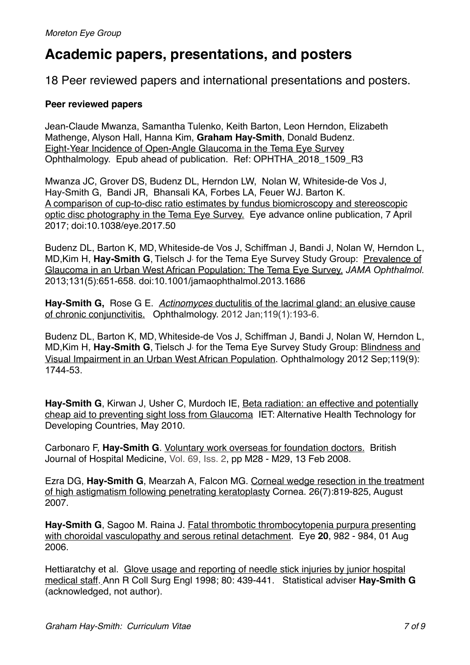## **Academic papers, presentations, and posters**

18 Peer reviewed papers and international presentations and posters.

### **Peer reviewed papers**

Jean-Claude Mwanza, Samantha Tulenko, Keith Barton, Leon Herndon, Elizabeth Mathenge, Alyson Hall, Hanna Kim, **Graham Hay-Smith**, Donald Budenz. Eight-Year Incidence of Open-Angle Glaucoma in the Tema Eye Survey Ophthalmology. Epub ahead of publication. Ref: OPHTHA\_2018\_1509\_R3

Mwanza JC, Grover DS, Budenz DL, Herndon LW, Nolan W, Whiteside-de Vos J, Hay-Smith G, Bandi JR, Bhansali KA, Forbes LA, Feuer WJ. Barton K. A comparison of cup-to-disc ratio estimates by fundus biomicroscopy and stereoscopic optic disc photography in the Tema Eye Survey. Eye advance online publication, 7 April 2017; doi:10.1038/eye.2017.50

Budenz DL, Barton K, MD, Whiteside-de Vos J, Schiffman J, Bandi J, Nolan W, Herndon L, MD, Kim H, Hay-Smith G, Tielsch J, for the Tema Eye Survey Study Group: Prevalence of Glaucoma in an Urban West African Population: The Tema Eye Survey. *JAMA Ophthalmol.*  2013;131(5):651-658. doi:10.1001/jamaophthalmol.2013.1686

**Hay-Smith G,** Rose G E. *Actinomyces* ductulitis of the lacrimal gland: an elusive cause of chronic conjunctivitis. Ophthalmology. 2012 Jan;119(1):193-6.

Budenz DL, Barton K, MD, Whiteside-de Vos J, Schiffman J, Bandi J, Nolan W, Herndon L, MD, Kim H, Hay-Smith G, Tielsch J, for the Tema Eye Survey Study Group: **Blindness and** Visual Impairment in an Urban West African Population. Ophthalmology 2012 Sep;119(9): 1744-53.

**Hay-Smith G**, Kirwan J, Usher C, Murdoch IE, Beta radiation: an effective and potentially cheap aid to preventing sight loss from Glaucoma IET: Alternative Health Technology for Developing Countries, May 2010.

Carbonaro F, **Hay-Smith G**. Voluntary work overseas for foundation doctors. British Journal of Hospital Medicine, [Vol. 69, Iss. 2](http://www.bjhm.co.uk/cgi-bin/go.pl/library/contents.html?uid=2041;journal_uid=8), pp M28 - M29, 13 Feb 2008.

Ezra DG, **Hay-Smith G**, Mearzah A, Falcon MG. Corneal wedge resection in the treatment of high astigmatism following penetrating keratoplasty Cornea. 26(7):819-825, August 2007.

**Hay-Smith G**, Sagoo M. Raina J. Fatal thrombotic thrombocytopenia purpura presenting with choroidal vasculopathy and serous retinal detachment. Eye **20**, 982 - 984, 01 Aug 2006.

Hettiaratchy et al. Glove usage and reporting of needle stick injuries by junior hospital medical staff*.* Ann R Coll Surg Engl 1998; 80: 439-441. Statistical adviser **Hay-Smith G** (acknowledged, not author).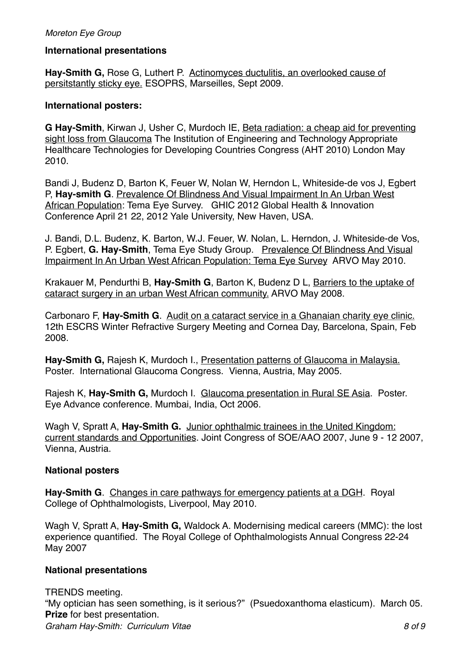### *Moreton Eye Group*

### **International presentations**

**Hay-Smith G,** Rose G, Luthert P. Actinomyces ductulitis, an overlooked cause of persitstantly sticky eye. ESOPRS, Marseilles, Sept 2009.

### **International posters:**

**G Hay-Smith**, Kirwan J, Usher C, Murdoch IE, Beta radiation: a cheap aid for preventing sight loss from Glaucoma The Institution of Engineering and Technology Appropriate Healthcare Technologies for Developing Countries Congress (AHT 2010) London May 2010.

Bandi J, Budenz D, Barton K, Feuer W, Nolan W, Herndon L, Whiteside-de vos J, Egbert P, Hay-smith G. Prevalence Of Blindness And Visual Impairment In An Urban West [African Population: Tema Eye Survey. GHIC 2012 Global Health & Innovation](http://www.uniteforsight.org/conference/)  [Conference April 21 22, 2012 Yale University, New Haven,](http://www.uniteforsight.org/conference/) USA.

J. Bandi, D.L. Budenz, K. Barton, W.J. Feuer, W. Nolan, L. Herndon, J. Whiteside-de Vos, P. Egbert, **G. Hay-Smith**, Tema Eye Study Group. Prevalence Of Blindness And Visual Impairment In An Urban West African Population: Tema Eye Survey ARVO May 2010.

Krakauer M, Pendurthi B, **Hay-Smith G**, Barton K, Budenz D L, Barriers to the uptake of cataract surgery in an urban West African community. ARVO May 2008.

Carbonaro F, **Hay-Smith G**. Audit on a cataract service in a Ghanaian charity eye clinic. 12th ESCRS Winter Refractive Surgery Meeting and Cornea Day, Barcelona, Spain, Feb 2008.

**Hay-Smith G,** Rajesh K, Murdoch I., Presentation patterns of Glaucoma in Malaysia. Poster. International Glaucoma Congress. Vienna, Austria, May 2005.

Rajesh K, **Hay-Smith G,** Murdoch I. Glaucoma presentation in Rural SE Asia. Poster. Eye Advance conference. Mumbai, India, Oct 2006.

Wagh V, Spratt A, **Hay-Smith G.** Junior ophthalmic trainees in the United Kingdom: current standards and Opportunities. Joint Congress of SOE/AAO 2007, June 9 - 12 2007, Vienna, Austria.

### **National posters**

**Hay-Smith G**. Changes in care pathways for emergency patients at a DGH. Royal College of Ophthalmologists, Liverpool, May 2010.

Wagh V, Spratt A, **Hay-Smith G,** Waldock A. Modernising medical careers (MMC): the lost experience quantified. The Royal College of Ophthalmologists Annual Congress 22-24 May 2007

### **National presentations**

TRENDS meeting. "My optician has seen something, is it serious?" (Psuedoxanthoma elasticum). March 05. **Prize** for best presentation. *Graham Hay-Smith: Curriculum Vitae 8 of 9*